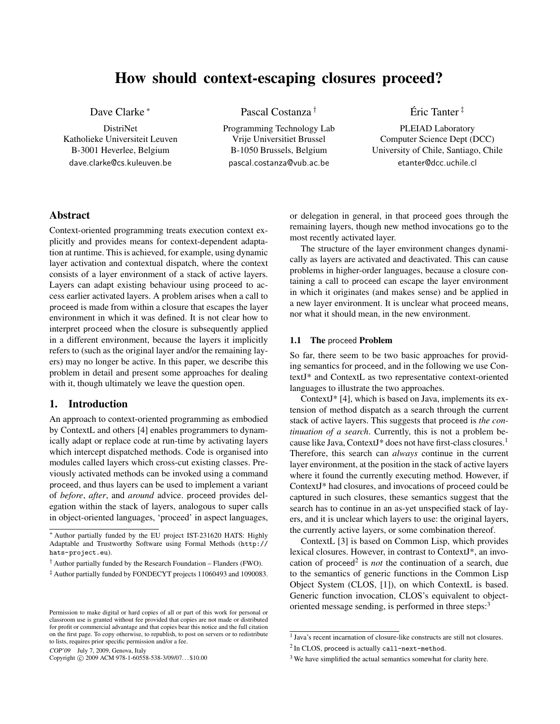# How should context-escaping closures proceed?

Dave Clarke <sup>∗</sup>

DistriNet Katholieke Universiteit Leuven B-3001 Heverlee, Belgium dave.clarke@cs.kuleuven.be

Pascal Costanza †

Programming Technology Lab Vrije Universitiet Brussel B-1050 Brussels, Belgium pascal.costanza@vub.ac.be

 $\text{Éric Tanter}$ <sup> $\ddagger$ </sup>

PLEIAD Laboratory Computer Science Dept (DCC) University of Chile, Santiago, Chile etanter@dcc.uchile.cl

# Abstract

Context-oriented programming treats execution context explicitly and provides means for context-dependent adaptation at runtime. This is achieved, for example, using dynamic layer activation and contextual dispatch, where the context consists of a layer environment of a stack of active layers. Layers can adapt existing behaviour using proceed to access earlier activated layers. A problem arises when a call to proceed is made from within a closure that escapes the layer environment in which it was defined. It is not clear how to interpret proceed when the closure is subsequently applied in a different environment, because the layers it implicitly refers to (such as the original layer and/or the remaining layers) may no longer be active. In this paper, we describe this problem in detail and present some approaches for dealing with it, though ultimately we leave the question open.

# 1. Introduction

An approach to context-oriented programming as embodied by ContextL and others [4] enables programmers to dynamically adapt or replace code at run-time by activating layers which intercept dispatched methods. Code is organised into modules called layers which cross-cut existing classes. Previously activated methods can be invoked using a command proceed, and thus layers can be used to implement a variant of *before*, *after*, and *around* advice. proceed provides delegation within the stack of layers, analogous to super calls in object-oriented languages, 'proceed' in aspect languages,

- † Author partially funded by the Research Foundation Flanders (FWO).
- ‡ Author partially funded by FONDECYT projects 11060493 and 1090083.

COP'09 July 7, 2009, Genova, Italy

Copyright © 2009 ACM 978-1-60558-538-3/09/07...\$10.00

or delegation in general, in that proceed goes through the remaining layers, though new method invocations go to the most recently activated layer.

The structure of the layer environment changes dynamically as layers are activated and deactivated. This can cause problems in higher-order languages, because a closure containing a call to proceed can escape the layer environment in which it originates (and makes sense) and be applied in a new layer environment. It is unclear what proceed means, nor what it should mean, in the new environment.

#### 1.1 The proceed Problem

So far, there seem to be two basic approaches for providing semantics for proceed, and in the following we use ContextJ\* and ContextL as two representative context-oriented languages to illustrate the two approaches.

ContextJ\* [4], which is based on Java, implements its extension of method dispatch as a search through the current stack of active layers. This suggests that proceed is *the continuation of a search*. Currently, this is not a problem because like Java, ContextJ\* does not have first-class closures.<sup>1</sup> Therefore, this search can *always* continue in the current layer environment, at the position in the stack of active layers where it found the currently executing method. However, if ContextJ\* had closures, and invocations of proceed could be captured in such closures, these semantics suggest that the search has to continue in an as-yet unspecified stack of layers, and it is unclear which layers to use: the original layers, the currently active layers, or some combination thereof.

ContextL [3] is based on Common Lisp, which provides lexical closures. However, in contrast to ContextJ\*, an invocation of proceed<sup>2</sup> is *not* the continuation of a search, due to the semantics of generic functions in the Common Lisp Object System (CLOS, [1]), on which ContextL is based. Generic function invocation, CLOS's equivalent to objectoriented message sending, is performed in three steps:<sup>3</sup>

<sup>∗</sup> Author partially funded by the EU project IST-231620 HATS: Highly Adaptable and Trustworthy Software using Formal Methods (http:// hats-project.eu).

Permission to make digital or hard copies of all or part of this work for personal or classroom use is granted without fee provided that copies are not made or distributed for profit or commercial advantage and that copies bear this notice and the full citation on the first page. To copy otherwise, to republish, to post on servers or to redistribute to lists, requires prior specific permission and/or a fee.

<sup>1</sup> Java's recent incarnation of closure-like constructs are still not closures.

<sup>&</sup>lt;sup>2</sup> In CLOS, proceed is actually call-next-method.

<sup>&</sup>lt;sup>3</sup> We have simplified the actual semantics somewhat for clarity here.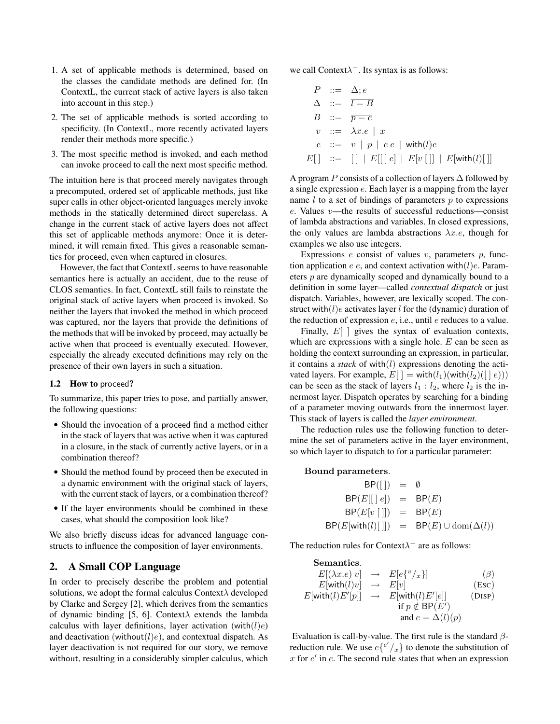- 1. A set of applicable methods is determined, based on the classes the candidate methods are defined for. (In ContextL, the current stack of active layers is also taken into account in this step.)
- 2. The set of applicable methods is sorted according to specificity. (In ContextL, more recently activated layers render their methods more specific.)
- 3. The most specific method is invoked, and each method can invoke proceed to call the next most specific method.

The intuition here is that proceed merely navigates through a precomputed, ordered set of applicable methods, just like super calls in other object-oriented languages merely invoke methods in the statically determined direct superclass. A change in the current stack of active layers does not affect this set of applicable methods anymore: Once it is determined, it will remain fixed. This gives a reasonable semantics for proceed, even when captured in closures.

However, the fact that ContextL seems to have reasonable semantics here is actually an accident, due to the reuse of CLOS semantics. In fact, ContextL still fails to reinstate the original stack of active layers when proceed is invoked. So neither the layers that invoked the method in which proceed was captured, nor the layers that provide the definitions of the methods that will be invoked by proceed, may actually be active when that proceed is eventually executed. However, especially the already executed definitions may rely on the presence of their own layers in such a situation.

#### 1.2 How to proceed?

To summarize, this paper tries to pose, and partially answer, the following questions:

- Should the invocation of a proceed find a method either in the stack of layers that was active when it was captured in a closure, in the stack of currently active layers, or in a combination thereof?
- Should the method found by proceed then be executed in a dynamic environment with the original stack of layers, with the current stack of layers, or a combination thereof?
- If the layer environments should be combined in these cases, what should the composition look like?

We also briefly discuss ideas for advanced language constructs to influence the composition of layer environments.

# 2. A Small COP Language

In order to precisely describe the problem and potential solutions, we adopt the formal calculus Context $\lambda$  developed by Clarke and Sergey [2], which derives from the semantics of dynamic binding [5, 6]. Context $\lambda$  extends the lambda calculus with layer definitions, layer activation (with $(l)e$ ) and deactivation (without  $(l)e$ ), and contextual dispatch. As layer deactivation is not required for our story, we remove without, resulting in a considerably simpler calculus, which we call Context $\lambda^-$ . Its syntax is as follows:

$$
P ::= \Delta; e
$$
  
\n
$$
\Delta ::= \overline{l = B}
$$
  
\n
$$
B ::= \overline{p = e}
$$
  
\n
$$
v ::= \lambda x.e \mid x
$$
  
\n
$$
e ::= v \mid p \mid ee \mid \text{with}(l)e
$$
  
\n
$$
E[\mid ::= [] \mid E[\mid e] \mid E[v[]] \mid E[\text{with}(l)[]]
$$

A program P consists of a collection of layers  $\Delta$  followed by a single expression e. Each layer is a mapping from the layer name  $l$  to a set of bindings of parameters  $p$  to expressions e. Values v—the results of successful reductions—consist of lambda abstractions and variables. In closed expressions, the only values are lambda abstractions  $\lambda x.e.$ , though for examples we also use integers.

Expressions  $e$  consist of values  $v$ , parameters  $p$ , function application e e, and context activation with  $(l)e$ . Parameters p are dynamically scoped and dynamically bound to a definition in some layer—called *contextual dispatch* or just dispatch. Variables, however, are lexically scoped. The construct with  $(l)e$  activates layer l for the (dynamic) duration of the reduction of expression  $e$ , i.e., until  $e$  reduces to a value.

Finally,  $E[\ ]$  gives the syntax of evaluation contexts, which are expressions with a single hole.  $E$  can be seen as holding the context surrounding an expression, in particular, it contains a *stack* of with $(l)$  expressions denoting the activated layers. For example,  $E[\] = \text{with}(l_1)(\text{with}(l_2)([ \ ] e)))$ can be seen as the stack of layers  $l_1 : l_2$ , where  $l_2$  is the innermost layer. Dispatch operates by searching for a binding of a parameter moving outwards from the innermost layer. This stack of layers is called the *layer environment*.

The reduction rules use the following function to determine the set of parameters active in the layer environment, so which layer to dispatch to for a particular parameter:

#### Bound parameters.

$$
BP([]) = \emptyset
$$
  
\n
$$
BP(E[[] e]) = BP(E)
$$
  
\n
$$
BP(E[v[[]]) = BP(E)
$$
  
\n
$$
BP(E[with(l)[]]) = BP(E) \cup dom(\Delta(l))
$$

The reduction rules for Context $\lambda^-$  are as follows:

**Semantics.**  
\n
$$
E[(\lambda x.e) v] \rightarrow E[e\{v/x\}]
$$
 (3)  
\n $E[\text{with}(l)v] \rightarrow E[v]$  (Esc)  
\n $E[\text{with}(l)E'[p]] \rightarrow E[\text{with}(l)E'[e]]$  (DISP)  
\nif  $p \notin BP(E')$   
\nand  $e = \Delta(l)(p)$ 

Evaluation is call-by-value. The first rule is the standard  $\beta$ reduction rule. We use  $e\left\{e^{\prime}/x\right\}$  to denote the substitution of  $x$  for  $e'$  in  $e$ . The second rule states that when an expression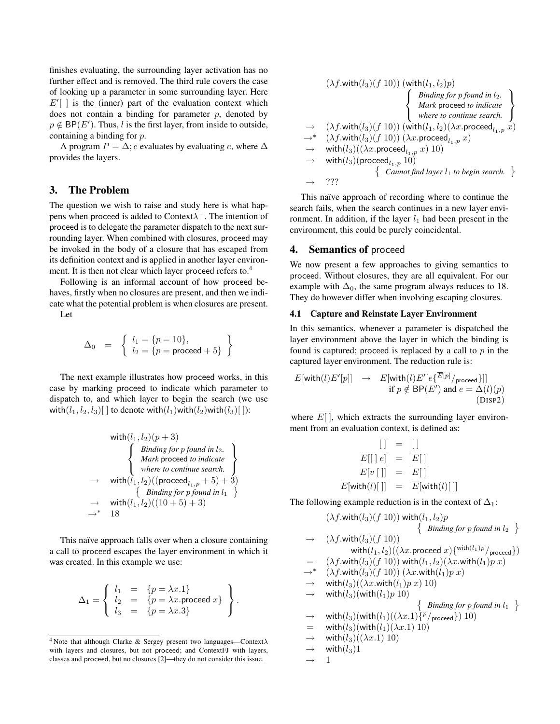finishes evaluating, the surrounding layer activation has no further effect and is removed. The third rule covers the case of looking up a parameter in some surrounding layer. Here  $E'$ [ ] is the (inner) part of the evaluation context which does not contain a binding for parameter  $p$ , denoted by  $p \notin BP(E')$ . Thus, l is the first layer, from inside to outside, containing a binding for p.

A program  $P = \Delta$ ; e evaluates by evaluating e, where  $\Delta$ provides the layers.

## 3. The Problem

The question we wish to raise and study here is what happens when proceed is added to Context $\lambda$ <sup>-</sup>. The intention of proceed is to delegate the parameter dispatch to the next surrounding layer. When combined with closures, proceed may be invoked in the body of a closure that has escaped from its definition context and is applied in another layer environment. It is then not clear which layer proceed refers to.<sup>4</sup>

Following is an informal account of how proceed behaves, firstly when no closures are present, and then we indicate what the potential problem is when closures are present. Let

$$
\Delta_0 = \left\{ \begin{array}{l} l_1 = \{p = 10\}, \\ l_2 = \{p = \text{proceed} + 5\} \end{array} \right\}
$$

The next example illustrates how proceed works, in this case by marking proceed to indicate which parameter to dispatch to, and which layer to begin the search (we use with $(l_1, l_2, l_3)$ [] to denote with $(l_1)$ with $(l_2)$ with $(l_3)$ []):

$$
\begin{array}{r}\n\text{with}\n(l_1, l_2)(p+3) \\
\left\{\n\begin{array}{c}\n\text{Binding for } p \text{ found in } l_2, \\
\text{Mark proceed to indicate} \\
\text{where to continue search.} \\
\text{with}\n(l_1, l_2)((\text{proceed}_{l_1, p} + 5) + 3) \\
\left\{\n\begin{array}{c}\n\text{Binding for } p \text{ found in } l_1 \\
\text{with}\n(l_1, l_2)((10+5) + 3)\n\end{array}\n\right\} \\
\rightarrow \quad \text{with}\n(l_1, l_2)((10+5) + 3)\n\end{array}
$$

This naïve approach falls over when a closure containing a call to proceed escapes the layer environment in which it was created. In this example we use:

$$
\Delta_1 = \left\{ \begin{array}{rcl} l_1 & = & \{p = \lambda x.1\} \\ l_2 & = & \{p = \lambda x. \text{proceed } x\} \\ l_3 & = & \{p = \lambda x.3\} \end{array} \right\}
$$

.

$$
(\lambda f.\text{with}(l_3)(f 10)) (\text{with}(l_1, l_2)p)
$$
\n
$$
\left\{\n \begin{array}{c}\n \text{Binding for } p \text{ found in } l_2. \\
 \text{Mark proceed to indicate} \\
 \text{where to continue search.} \\
 \rightarrow (\lambda f.\text{with}(l_3)(f 10)) (\text{with}(l_1, l_2)(\lambda x.\text{proceed}_{l_1, p} x) \\
 \rightarrow^* (\lambda f.\text{with}(l_3)(f 10)) (\lambda x.\text{proceed}_{l_1, p} x) \\
 \rightarrow \text{with}(l_3)((\lambda x.\text{proceed}_{l_1, p} x) 10) \\
 \rightarrow \text{with}(l_3)(\text{proceed}_{l_1, p} 10) \\
 \left\{\n \begin{array}{c}\n \text{Cannon find layer } l_1 \text{ to begin search.} \\
 \text{Cannon find layer } l_1 \text{ to begin search.}\n \end{array}\n \right\}
$$

This naïve approach of recording where to continue the search fails, when the search continues in a new layer environment. In addition, if the layer  $l_1$  had been present in the environment, this could be purely coincidental.

# 4. Semantics of proceed

We now present a few approaches to giving semantics to proceed. Without closures, they are all equivalent. For our example with  $\Delta_0$ , the same program always reduces to 18. They do however differ when involving escaping closures.

#### 4.1 Capture and Reinstate Layer Environment

In this semantics, whenever a parameter is dispatched the layer environment above the layer in which the binding is found is captured; proceed is replaced by a call to  $p$  in the captured layer environment. The reduction rule is:

$$
E[\text{with}(l)E'[p]] \rightarrow E[\text{with}(l)E'[e\{^{E[p]}/\text{proceed}\}]]\text{if } p \notin \text{BP}(E') \text{ and } e = \Delta(l)(p) (\text{DisP2})
$$

where  $\overline{E[\,]}$ , which extracts the surrounding layer environment from an evaluation context, is defined as:

$$
\frac{\boxed{}{}]}{E[\boxed{]}} = \frac{\boxed{}}{E[\boxed{]}} \\
\frac{\overline{E}[[\boxed{]}e]}{E[v[\boxed{]]}} = \frac{\overline{E}[\boxed{]} \\
\overline{E[\text{with}(l)[\boxed{]]}} = \overline{E}[\text{with}(l)[\boxed{]]}
$$

The following example reduction is in the context of  $\Delta_1$ :

$$
(\lambda f.\text{with}(l_3)(f 10)) \text{ with}(l_1, l_2)p
$$
\n
$$
\left\{\n \begin{array}{c}\n \text{Binding for } p \text{ found in } l_2 \\
 \text{With}(l_1, l_2)((\lambda x.\text{proceed } x)\{^{\text{with}(l_1)p}/\text{proceed}}\n \end{array}\n \right\}
$$
\n
$$
= (\lambda f.\text{with}(l_3)(f 10)) \text{ with}(l_1, l_2)(\lambda x.\text{with}(l_1)p x)
$$
\n
$$
\rightarrow^* (\lambda f.\text{with}(l_3)(f 10)) (\lambda x.\text{with}(l_1)p x)
$$
\n
$$
\rightarrow^* \text{with}(l_3)((\lambda x.\text{with}(l_1)p x) 10)
$$
\n
$$
\rightarrow^* \text{with}(l_3)(\text{with}(l_1)p 10)
$$
\n
$$
\left\{\n \begin{array}{c}\n \text{Binding for } p \text{ found in } l_1 \\
 \text{With}(l_3)(\text{with}(l_1)((\lambda x.1)\{^p/\text{proceed}}\}) 10)\n \end{array}\n \right\}
$$
\n
$$
=^* \text{with}(l_3)(\text{with}(l_1)(\lambda x.1) 10)
$$
\n
$$
\rightarrow^* \text{with}(l_3)((\lambda x.1) 10)
$$
\n
$$
\rightarrow^* \text{with}(l_3)((\lambda x.1) 10)
$$
\n
$$
\rightarrow^* \text{with}(l_3)(1)
$$

<sup>&</sup>lt;sup>4</sup> Note that although Clarke & Sergey present two languages—Context $\lambda$ with layers and closures, but not proceed; and ContextFJ with layers, classes and proceed, but no closures [2]—they do not consider this issue.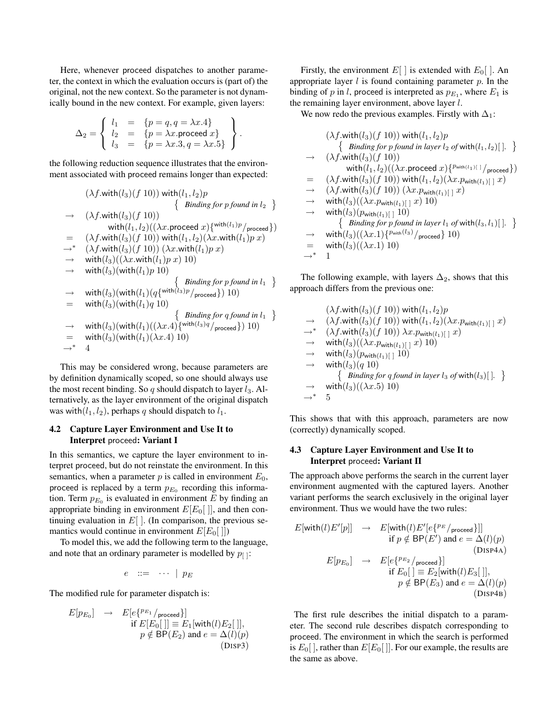Here, whenever proceed dispatches to another parameter, the context in which the evaluation occurs is (part of) the original, not the new context. So the parameter is not dynamically bound in the new context. For example, given layers:

$$
\Delta_2 = \left\{ \begin{array}{rcl} l_1 &=& \{p = q, q = \lambda x.4\} \\ l_2 &=& \{p = \lambda x.\text{proceed } x\} \\ l_3 &=& \{p = \lambda x.3, q = \lambda x.5\} \end{array} \right\}.
$$

the following reduction sequence illustrates that the environment associated with proceed remains longer than expected:

$$
(\lambda f.\text{with}(l_3)(f 10)) \text{ with}(l_1, l_2)p
$$
\n
$$
\rightarrow (\lambda f.\text{with}(l_3)(f 10))
$$
\n
$$
\text{with}(l_1, l_2)((\lambda x.\text{proceed } x)\{\text{with}(l_1)p/\text{proceed}\})
$$
\n
$$
= (\lambda f.\text{with}(l_3)(f 10)) \text{ with}(l_1, l_2)(\lambda x.\text{with}(l_1)p x)
$$
\n
$$
\rightarrow^* (\lambda f.\text{with}(l_3)(f 10)) (\lambda x.\text{with}(l_1)p x)
$$
\n
$$
\rightarrow \text{with}(l_3)((\lambda x.\text{with}(l_1)p x) 10)
$$
\n
$$
\rightarrow \text{with}(l_3)(\text{with}(l_1)p 10)
$$
\n
$$
\rightarrow^* \text{with}(l_3)(\text{with}(l_1)(q\{\text{with}(l_3)p/\text{proceed}\}) 10)
$$
\n
$$
= \text{with}(l_3)(\text{with}(l_1)q 10)
$$
\n
$$
\rightarrow^* \text{with}(l_3)(\text{with}(l_1)((\lambda x.4)\{\text{with}(l_3)q/\text{proceed}\}) 10)
$$
\n
$$
= \text{with}(l_3)(\text{with}(l_1)((\lambda x.4)\{10)\}
$$

This may be considered wrong, because parameters are by definition dynamically scoped, so one should always use the most recent binding. So q should dispatch to layer  $l_3$ . Alternatively, as the layer environment of the original dispatch was with $(l_1, l_2)$ , perhaps q should dispatch to  $l_1$ .

# 4.2 Capture Layer Environment and Use It to Interpret proceed: Variant I

In this semantics, we capture the layer environment to interpret proceed, but do not reinstate the environment. In this semantics, when a parameter  $p$  is called in environment  $E_0$ , proceed is replaced by a term  $p_{E_0}$  recording this information. Term  $p_{E_0}$  is evaluated in environment E by finding an appropriate binding in environment  $E[E_0]$ ], and then continuing evaluation in  $E[$  |. (In comparison, the previous semantics would continue in environment  $E[E_0[$  ]])

To model this, we add the following term to the language, and note that an ordinary parameter is modelled by  $p_{[]}$ :

$$
e \ ::= \ \cdots \ | \ p_E
$$

The modified rule for parameter dispatch is:

$$
E[p_{E_0}] \rightarrow E[e\{^{p_{E_1}}/_{\text{proceed}}\}]
$$
  
if  $E[E_0[$ ]]  $\equiv E_1[\text{with}(l)E_2[$ ]],  
 $p \notin \text{BP}(E_2)$  and  $e = \Delta(l)(p)$   
(DISP3)

Firstly, the environment  $E[$  ] is extended with  $E_0[$  ]. An appropriate layer  $l$  is found containing parameter  $p$ . In the binding of p in l, proceed is interpreted as  $p_{E_1}$ , where  $E_1$  is the remaining layer environment, above layer l.

We now redo the previous examples. Firstly with  $\Delta_1$ :

$$
(\lambda f.\text{with}(l_3)(f 10)) \text{ with}(l_1, l_2)p
$$
\n
$$
\left\{\n \begin{array}{l}\n \text{Binding for } p \text{ found in layer } l_2 \text{ of with}(l_1, l_2)[].\n \end{array}\n \right\}
$$
\n
$$
\rightarrow (\lambda f.\text{with}(l_3)(f 10))
$$
\n
$$
\text{with}(l_1, l_2)((\lambda x.\text{proceed } x)\{P^{\text{with}(l_1)[} \mid / \text{proceed}\})
$$
\n
$$
= (\lambda f.\text{with}(l_3)(f 10)) \text{ with}(l_1, l_2)(\lambda x.P_{\text{with}(l_1)[} \mid x)
$$
\n
$$
\rightarrow (\lambda f.\text{with}(l_3)(f 10)) (\lambda x.P_{\text{with}(l_1)[} \mid x)
$$
\n
$$
\rightarrow \text{with}(l_3)((\lambda x.P_{\text{with}(l_1)[} \mid x) 10)
$$
\n
$$
\rightarrow \text{with}(l_3)(p_{\text{with}(l_1)[} \mid 10)
$$
\n
$$
\left\{\n \begin{array}{l}\n \text{Binding for } p \text{ found in layer } l_1 \text{ of with}(l_3, l_1)[].\n \end{array}\n \right\}
$$
\n
$$
\rightarrow \text{with}(l_3)((\lambda x.1)\{P^{\text{with}(l_3)} / \text{proceed}\} 10)
$$
\n
$$
\rightarrow^* 1
$$

The following example, with layers  $\Delta_2$ , shows that this approach differs from the previous one:

$$
(\lambda f.\text{with}(l_3)(f 10)) \text{ with}(l_1, l_2)p
$$
\n
$$
\rightarrow (\lambda f.\text{with}(l_3)(f 10)) \text{ with}(l_1, l_2)(\lambda x. p_{\text{with}(l_1)[1]} x)
$$
\n
$$
\rightarrow^* (\lambda f.\text{with}(l_3)(f 10)) \lambda x. p_{\text{with}(l_1)[1]} x)
$$
\n
$$
\rightarrow \text{with}(l_3)((\lambda x. p_{\text{with}(l_1)[1]} x) 10)
$$
\n
$$
\rightarrow \text{with}(l_3)(p_{\text{with}(l_1)[1]} 10)
$$
\n
$$
\rightarrow \text{with}(l_3)(q 10)
$$
\n
$$
\rightarrow \text{with}(l_3)((\lambda x.5) 10)
$$
\n
$$
\rightarrow^* 5
$$

This shows that with this approach, parameters are now (correctly) dynamically scoped.

# 4.3 Capture Layer Environment and Use It to Interpret proceed: Variant II

The approach above performs the search in the current layer environment augmented with the captured layers. Another variant performs the search exclusively in the original layer environment. Thus we would have the two rules:

$$
E[\text{with}(l)E'[p]] \rightarrow E[\text{with}(l)E'[e\{^{p_E}/\text{proceed}\}]]
$$
  
if  $p \notin \text{BP}(E')$  and  $e = \Delta(l)(p)$   
(Disp4A)  

$$
E[p_{E_0}] \rightarrow E[e\{^{p_{E_2}}/\text{proceed}\}]
$$
  
if  $E_0[$  ]  $\equiv E_2[\text{with}(l)E_3[$ ]],  
 $p \notin \text{BP}(E_3)$  and  $e = \Delta(l)(p)$   
(Disp4B)

The first rule describes the initial dispatch to a parameter. The second rule describes dispatch corresponding to proceed. The environment in which the search is performed is  $E_0[$ ], rather than  $E[E_0[$ ]]. For our example, the results are the same as above.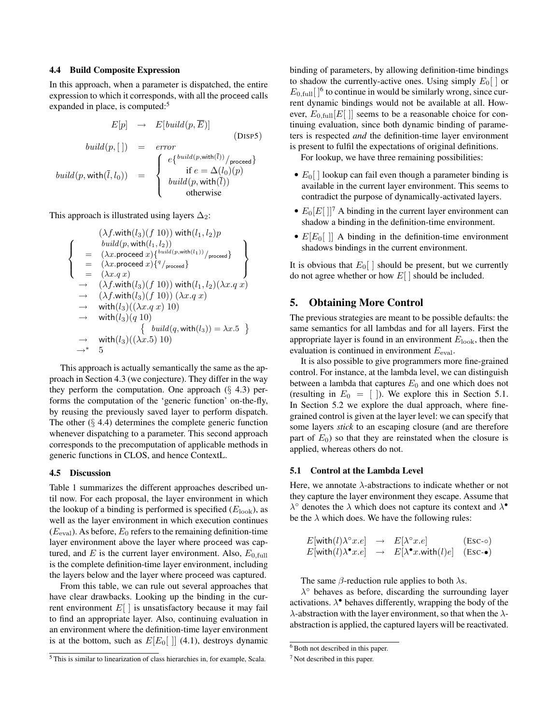#### 4.4 Build Composite Expression

In this approach, when a parameter is dispatched, the entire expression to which it corresponds, with all the proceed calls expanded in place, is computed:<sup>5</sup>

$$
E[p] \rightarrow E[build(p, \overline{E})]
$$
\n
$$
build(p, [] ) = error
$$
\n
$$
build(p, \text{with}(\overline{l}, l_0)) = \begin{cases} e^{\{build(p, \text{with}(\overline{l}))}/{\text{proceed}}\} \\ \text{if } e = \Delta(l_0)(p) \\ \text{build}(p, \text{with}(\overline{l})) \\ \text{obrewise} \end{cases}
$$

This approach is illustrated using layers  $\Delta_2$ :

$$
\left\{\begin{array}{lll} & (\lambda f.\text{with}(l_3)(f\ 10))\ \text{with}(l_1,l_2)p\\ & \text{build}(p,\text{with}(l_1,l_2))\\ & = & (\lambda x.\text{proceed }x)\{{}^{build}(p,\text{with}(l_1))}/\text{proceed }\}\\ & = & (\lambda x.\text{proceed }x)\{^{q}/\text{proceed }\}\\ & = & (\lambda x.q\ x)\\ & \rightarrow & (\lambda f.\text{with}(l_3)(f\ 10))\ \text{with}(l_1,l_2)(\lambda x.q\ x)\\ & \rightarrow & \text{with}(l_3)((\lambda x.q\ x)\ 10)\\ & \rightarrow & \text{with}(l_3)((\lambda x.q\ x)\ 10)\\ & \left\{\begin{array}{l} \text{build}(q,\text{with}(l_3))=\lambda x.5\\ \text{with}(l_3)((\lambda x.5)\ 10)\end{array}\right\}\\\ & \rightarrow & \text{with}(l_3)((\lambda x.5)\ 10)\\ & \rightarrow^* & 5\\ \end{array}\right\}
$$

This approach is actually semantically the same as the approach in Section 4.3 (we conjecture). They differ in the way they perform the computation. One approach  $(\S$  4.3) performs the computation of the 'generic function' on-the-fly, by reusing the previously saved layer to perform dispatch. The other  $(\S$  4.4) determines the complete generic function whenever dispatching to a parameter. This second approach corresponds to the precomputation of applicable methods in generic functions in CLOS, and hence ContextL.

#### 4.5 Discussion

Table 1 summarizes the different approaches described until now. For each proposal, the layer environment in which the lookup of a binding is performed is specified  $(E<sub>look</sub>)$ , as well as the layer environment in which execution continues  $(E_{\text{eval}})$ . As before,  $E_0$  refers to the remaining definition-time layer environment above the layer where proceed was captured, and  $E$  is the current layer environment. Also,  $E_{0, \text{full}}$ is the complete definition-time layer environment, including the layers below and the layer where proceed was captured.

From this table, we can rule out several approaches that have clear drawbacks. Looking up the binding in the current environment  $E[\ ]$  is unsatisfactory because it may fail to find an appropriate layer. Also, continuing evaluation in an environment where the definition-time layer environment is at the bottom, such as  $E[E_0[$  [] (4.1), destroys dynamic

binding of parameters, by allowing definition-time bindings to shadow the currently-active ones. Using simply  $E_0$ [ ] or  $E_{0,\text{full}}$  [ $\delta$  to continue in would be similarly wrong, since current dynamic bindings would not be available at all. However,  $E_{0,\text{full}}[E]$  | seems to be a reasonable choice for continuing evaluation, since both dynamic binding of parameters is respected *and* the definition-time layer environment is present to fulfil the expectations of original definitions.

For lookup, we have three remaining possibilities:

- $E_0$ [] lookup can fail even though a parameter binding is available in the current layer environment. This seems to contradict the purpose of dynamically-activated layers.
- $E_0[E[$  ||<sup>7</sup> A binding in the current layer environment can shadow a binding in the definition-time environment.
- $E[E_0]$  | A binding in the definition-time environment shadows bindings in the current environment.

It is obvious that  $E_0$ [] should be present, but we currently do not agree whether or how  $E[\ ]$  should be included.

# 5. Obtaining More Control

The previous strategies are meant to be possible defaults: the same semantics for all lambdas and for all layers. First the appropriate layer is found in an environment  $E_{\text{look}}$ , then the evaluation is continued in environment  $E_{\text{eval}}$ .

It is also possible to give programmers more fine-grained control. For instance, at the lambda level, we can distinguish between a lambda that captures  $E_0$  and one which does not (resulting in  $E_0 = [$  ). We explore this in Section 5.1. In Section 5.2 we explore the dual approach, where finegrained control is given at the layer level: we can specify that some layers *stick* to an escaping closure (and are therefore part of  $E_0$ ) so that they are reinstated when the closure is applied, whereas others do not.

#### 5.1 Control at the Lambda Level

Here, we annotate  $\lambda$ -abstractions to indicate whether or not they capture the layer environment they escape. Assume that  $\lambda^{\circ}$  denotes the  $\lambda$  which does not capture its context and  $\lambda^{\bullet}$ be the  $\lambda$  which does. We have the following rules:

$$
E[\text{with}(l)\lambda^{\circ}x.e] \rightarrow E[\lambda^{\circ}x.e] \text{ (Esc-)}E[\text{with}(l)\lambda^{\bullet}x.e] \rightarrow E[\lambda^{\bullet}x.\text{with}(l)e] \text{ (Esc-)}E[\text{with}(l)\lambda^{\bullet}x.e]
$$

The same  $\beta$ -reduction rule applies to both  $\lambda$ s.

 $\lambda^{\circ}$  behaves as before, discarding the surrounding layer activations.  $\lambda^{\bullet}$  behaves differently, wrapping the body of the  $\lambda$ -abstraction with the layer environment, so that when the  $\lambda$ abstraction is applied, the captured layers will be reactivated.

<sup>5</sup> This is similar to linearization of class hierarchies in, for example, Scala.

<sup>6</sup> Both not described in this paper.

<sup>7</sup> Not described in this paper.